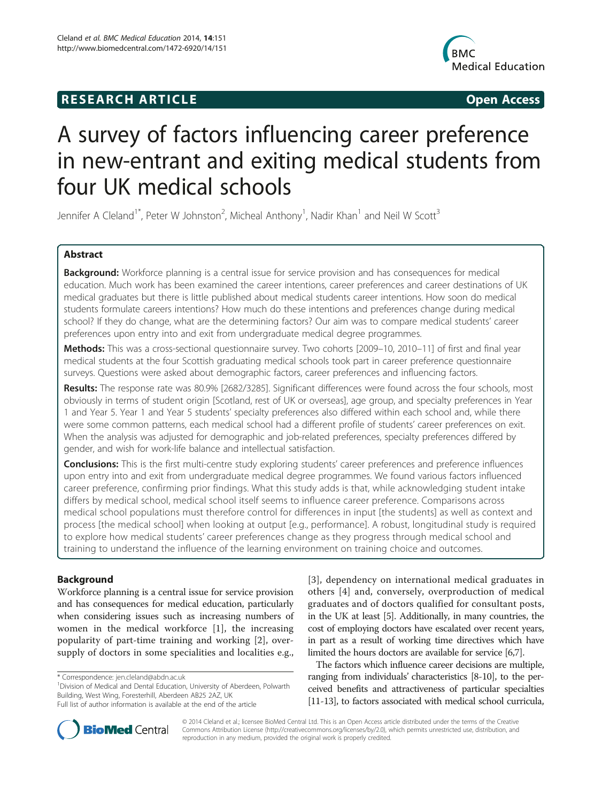# **RESEARCH ARTICLE Example 2018 CONSUMING A RESEARCH ARTICLE**



# A survey of factors influencing career preference in new-entrant and exiting medical students from four UK medical schools

Jennifer A Cleland<sup>1\*</sup>, Peter W Johnston<sup>2</sup>, Micheal Anthony<sup>1</sup>, Nadir Khan<sup>1</sup> and Neil W Scott<sup>3</sup>

# Abstract

Background: Workforce planning is a central issue for service provision and has consequences for medical education. Much work has been examined the career intentions, career preferences and career destinations of UK medical graduates but there is little published about medical students career intentions. How soon do medical students formulate careers intentions? How much do these intentions and preferences change during medical school? If they do change, what are the determining factors? Our aim was to compare medical students' career preferences upon entry into and exit from undergraduate medical degree programmes.

Methods: This was a cross-sectional questionnaire survey. Two cohorts [2009–10, 2010–11] of first and final year medical students at the four Scottish graduating medical schools took part in career preference questionnaire surveys. Questions were asked about demographic factors, career preferences and influencing factors.

Results: The response rate was 80.9% [2682/3285]. Significant differences were found across the four schools, most obviously in terms of student origin [Scotland, rest of UK or overseas], age group, and specialty preferences in Year 1 and Year 5. Year 1 and Year 5 students' specialty preferences also differed within each school and, while there were some common patterns, each medical school had a different profile of students' career preferences on exit. When the analysis was adjusted for demographic and job-related preferences, specialty preferences differed by gender, and wish for work-life balance and intellectual satisfaction.

Conclusions: This is the first multi-centre study exploring students' career preferences and preference influences upon entry into and exit from undergraduate medical degree programmes. We found various factors influenced career preference, confirming prior findings. What this study adds is that, while acknowledging student intake differs by medical school, medical school itself seems to influence career preference. Comparisons across medical school populations must therefore control for differences in input [the students] as well as context and process [the medical school] when looking at output [e.g., performance]. A robust, longitudinal study is required to explore how medical students' career preferences change as they progress through medical school and training to understand the influence of the learning environment on training choice and outcomes.

# Background

Workforce planning is a central issue for service provision and has consequences for medical education, particularly when considering issues such as increasing numbers of women in the medical workforce [[1\]](#page-8-0), the increasing popularity of part-time training and working [[2\]](#page-8-0), oversupply of doctors in some specialities and localities e.g.,

<sup>1</sup> Division of Medical and Dental Education, University of Aberdeen, Polwarth Building, West Wing, Foresterhill, Aberdeen AB25 2AZ, UK

[[3](#page-8-0)], dependency on international medical graduates in others [[4\]](#page-8-0) and, conversely, overproduction of medical graduates and of doctors qualified for consultant posts, in the UK at least [\[5](#page-8-0)]. Additionally, in many countries, the cost of employing doctors have escalated over recent years, in part as a result of working time directives which have limited the hours doctors are available for service [[6,7](#page-8-0)].

The factors which influence career decisions are multiple, ranging from individuals' characteristics [\[8-10\]](#page-8-0), to the perceived benefits and attractiveness of particular specialties [[11](#page-8-0)-[13\]](#page-8-0), to factors associated with medical school curricula,



© 2014 Cleland et al.; licensee BioMed Central Ltd. This is an Open Access article distributed under the terms of the Creative Commons Attribution License [\(http://creativecommons.org/licenses/by/2.0\)](http://creativecommons.org/licenses/by/2.0), which permits unrestricted use, distribution, and reproduction in any medium, provided the original work is properly credited.

<sup>\*</sup> Correspondence: [jen.cleland@abdn.ac.uk](mailto:jen.cleland@abdn.ac.uk) <sup>1</sup>

Full list of author information is available at the end of the article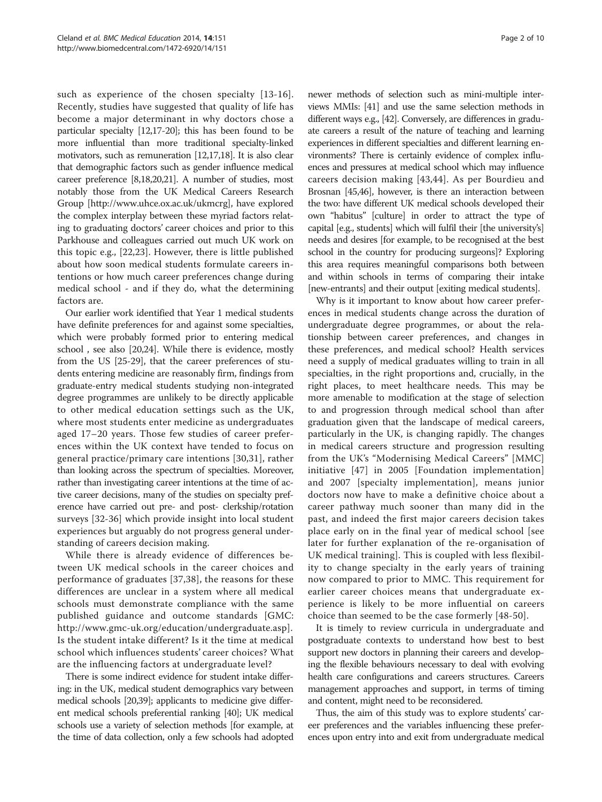such as experience of the chosen specialty [[13](#page-8-0)-[16](#page-8-0)]. Recently, studies have suggested that quality of life has become a major determinant in why doctors chose a particular specialty [\[12,17](#page-8-0)-[20](#page-8-0)]; this has been found to be more influential than more traditional specialty-linked motivators, such as remuneration [\[12,17,18\]](#page-8-0). It is also clear that demographic factors such as gender influence medical career preference [\[8,18,20,21](#page-8-0)]. A number of studies, most notably those from the UK Medical Careers Research Group [<http://www.uhce.ox.ac.uk/ukmcrg>], have explored the complex interplay between these myriad factors relating to graduating doctors' career choices and prior to this Parkhouse and colleagues carried out much UK work on this topic e.g., [\[22](#page-8-0),[23\]](#page-8-0). However, there is little published about how soon medical students formulate careers intentions or how much career preferences change during medical school - and if they do, what the determining factors are.

Our earlier work identified that Year 1 medical students have definite preferences for and against some specialties, which were probably formed prior to entering medical school , see also [[20,24\]](#page-8-0). While there is evidence, mostly from the US [\[25-29\]](#page-8-0), that the career preferences of students entering medicine are reasonably firm, findings from graduate-entry medical students studying non-integrated degree programmes are unlikely to be directly applicable to other medical education settings such as the UK, where most students enter medicine as undergraduates aged 17–20 years. Those few studies of career preferences within the UK context have tended to focus on general practice/primary care intentions [[30,31](#page-8-0)], rather than looking across the spectrum of specialties. Moreover, rather than investigating career intentions at the time of active career decisions, many of the studies on specialty preference have carried out pre- and post- clerkship/rotation surveys [[32](#page-8-0)[-36](#page-9-0)] which provide insight into local student experiences but arguably do not progress general understanding of careers decision making.

While there is already evidence of differences between UK medical schools in the career choices and performance of graduates [\[37,38](#page-9-0)], the reasons for these differences are unclear in a system where all medical schools must demonstrate compliance with the same published guidance and outcome standards [GMC: <http://www.gmc-uk.org/education/undergraduate.asp>]. Is the student intake different? Is it the time at medical school which influences students' career choices? What are the influencing factors at undergraduate level?

There is some indirect evidence for student intake differing: in the UK, medical student demographics vary between medical schools [[20](#page-8-0)[,39](#page-9-0)]; applicants to medicine give different medical schools preferential ranking [[40](#page-9-0)]; UK medical schools use a variety of selection methods [for example, at the time of data collection, only a few schools had adopted

newer methods of selection such as mini-multiple interviews MMIs: [\[41\]](#page-9-0) and use the same selection methods in different ways e.g., [[42](#page-9-0)]. Conversely, are differences in graduate careers a result of the nature of teaching and learning experiences in different specialties and different learning environments? There is certainly evidence of complex influences and pressures at medical school which may influence careers decision making [[43,44](#page-9-0)]. As per Bourdieu and Brosnan [\[45,46\]](#page-9-0), however, is there an interaction between the two: have different UK medical schools developed their own "habitus" [culture] in order to attract the type of capital [e.g., students] which will fulfil their [the university's] needs and desires [for example, to be recognised at the best school in the country for producing surgeons]? Exploring this area requires meaningful comparisons both between and within schools in terms of comparing their intake [new-entrants] and their output [exiting medical students].

Why is it important to know about how career preferences in medical students change across the duration of undergraduate degree programmes, or about the relationship between career preferences, and changes in these preferences, and medical school? Health services need a supply of medical graduates willing to train in all specialties, in the right proportions and, crucially, in the right places, to meet healthcare needs. This may be more amenable to modification at the stage of selection to and progression through medical school than after graduation given that the landscape of medical careers, particularly in the UK, is changing rapidly. The changes in medical careers structure and progression resulting from the UK's "Modernising Medical Careers" [MMC] initiative [[47](#page-9-0)] in 2005 [Foundation implementation] and 2007 [specialty implementation], means junior doctors now have to make a definitive choice about a career pathway much sooner than many did in the past, and indeed the first major careers decision takes place early on in the final year of medical school [see later for further explanation of the re-organisation of UK medical training]. This is coupled with less flexibility to change specialty in the early years of training now compared to prior to MMC. This requirement for earlier career choices means that undergraduate experience is likely to be more influential on careers choice than seemed to be the case formerly [\[48-50\]](#page-9-0).

It is timely to review curricula in undergraduate and postgraduate contexts to understand how best to best support new doctors in planning their careers and developing the flexible behaviours necessary to deal with evolving health care configurations and careers structures. Careers management approaches and support, in terms of timing and content, might need to be reconsidered.

Thus, the aim of this study was to explore students' career preferences and the variables influencing these preferences upon entry into and exit from undergraduate medical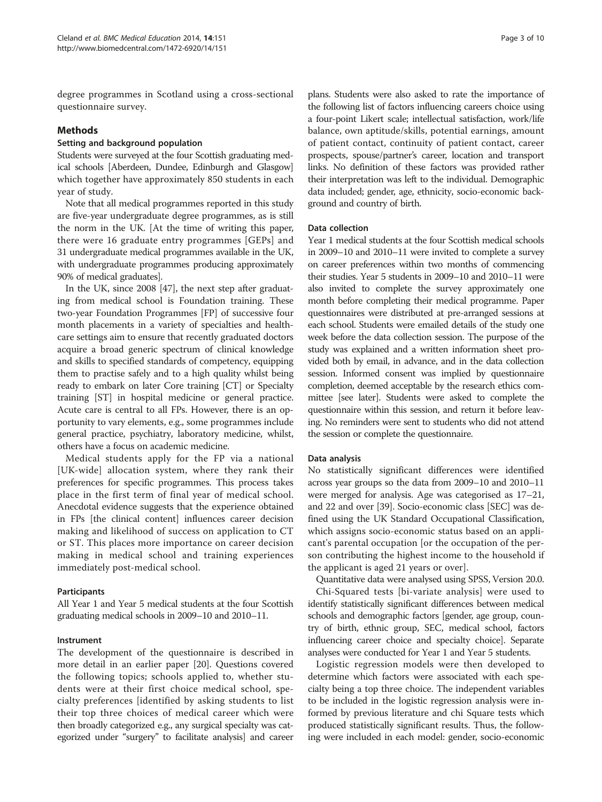degree programmes in Scotland using a cross-sectional questionnaire survey.

# Methods

#### Setting and background population

Students were surveyed at the four Scottish graduating medical schools [Aberdeen, Dundee, Edinburgh and Glasgow] which together have approximately 850 students in each year of study.

Note that all medical programmes reported in this study are five-year undergraduate degree programmes, as is still the norm in the UK. [At the time of writing this paper, there were 16 graduate entry programmes [GEPs] and 31 undergraduate medical programmes available in the UK, with undergraduate programmes producing approximately 90% of medical graduates].

In the UK, since 2008 [[47\]](#page-9-0), the next step after graduating from medical school is Foundation training. These two-year Foundation Programmes [FP] of successive four month placements in a variety of specialties and healthcare settings aim to ensure that recently graduated doctors acquire a broad generic spectrum of clinical knowledge and skills to specified standards of competency, equipping them to practise safely and to a high quality whilst being ready to embark on later Core training [CT] or Specialty training [ST] in hospital medicine or general practice. Acute care is central to all FPs. However, there is an opportunity to vary elements, e.g., some programmes include general practice, psychiatry, laboratory medicine, whilst, others have a focus on academic medicine.

Medical students apply for the FP via a national [UK-wide] allocation system, where they rank their preferences for specific programmes. This process takes place in the first term of final year of medical school. Anecdotal evidence suggests that the experience obtained in FPs [the clinical content] influences career decision making and likelihood of success on application to CT or ST. This places more importance on career decision making in medical school and training experiences immediately post-medical school.

#### Participants

All Year 1 and Year 5 medical students at the four Scottish graduating medical schools in 2009–10 and 2010–11.

#### Instrument

The development of the questionnaire is described in more detail in an earlier paper [\[20](#page-8-0)]. Questions covered the following topics; schools applied to, whether students were at their first choice medical school, specialty preferences [identified by asking students to list their top three choices of medical career which were then broadly categorized e.g., any surgical specialty was categorized under "surgery" to facilitate analysis] and career

plans. Students were also asked to rate the importance of the following list of factors influencing careers choice using a four-point Likert scale; intellectual satisfaction, work/life balance, own aptitude/skills, potential earnings, amount of patient contact, continuity of patient contact, career prospects, spouse/partner's career, location and transport links. No definition of these factors was provided rather their interpretation was left to the individual. Demographic data included; gender, age, ethnicity, socio-economic background and country of birth.

#### Data collection

Year 1 medical students at the four Scottish medical schools in 2009–10 and 2010–11 were invited to complete a survey on career preferences within two months of commencing their studies. Year 5 students in 2009–10 and 2010–11 were also invited to complete the survey approximately one month before completing their medical programme. Paper questionnaires were distributed at pre-arranged sessions at each school. Students were emailed details of the study one week before the data collection session. The purpose of the study was explained and a written information sheet provided both by email, in advance, and in the data collection session. Informed consent was implied by questionnaire completion, deemed acceptable by the research ethics committee [see later]. Students were asked to complete the questionnaire within this session, and return it before leaving. No reminders were sent to students who did not attend the session or complete the questionnaire.

#### Data analysis

No statistically significant differences were identified across year groups so the data from 2009–10 and 2010–11 were merged for analysis. Age was categorised as 17–21, and 22 and over [[39](#page-9-0)]. Socio-economic class [SEC] was defined using the UK Standard Occupational Classification, which assigns socio-economic status based on an applicant's parental occupation [or the occupation of the person contributing the highest income to the household if the applicant is aged 21 years or over].

Quantitative data were analysed using SPSS, Version 20.0. Chi-Squared tests [bi-variate analysis] were used to identify statistically significant differences between medical schools and demographic factors [gender, age group, country of birth, ethnic group, SEC, medical school, factors influencing career choice and specialty choice]. Separate analyses were conducted for Year 1 and Year 5 students.

Logistic regression models were then developed to determine which factors were associated with each specialty being a top three choice. The independent variables to be included in the logistic regression analysis were informed by previous literature and chi Square tests which produced statistically significant results. Thus, the following were included in each model: gender, socio-economic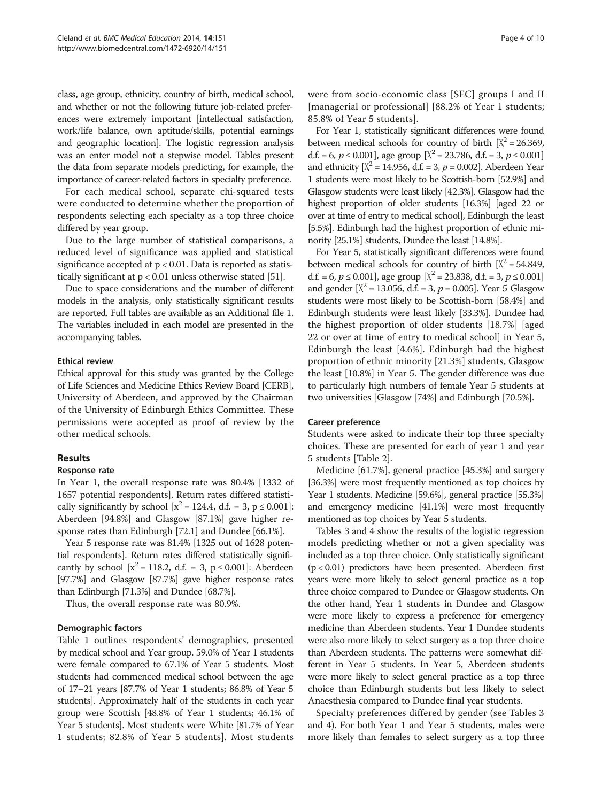class, age group, ethnicity, country of birth, medical school, and whether or not the following future job-related preferences were extremely important [intellectual satisfaction, work/life balance, own aptitude/skills, potential earnings and geographic location]. The logistic regression analysis was an enter model not a stepwise model. Tables present the data from separate models predicting, for example, the importance of career-related factors in specialty preference.

For each medical school, separate chi-squared tests were conducted to determine whether the proportion of respondents selecting each specialty as a top three choice differed by year group.

Due to the large number of statistical comparisons, a reduced level of significance was applied and statistical significance accepted at  $p < 0.01$ . Data is reported as statistically significant at p < 0.01 unless otherwise stated [\[51](#page-9-0)].

Due to space considerations and the number of different models in the analysis, only statistically significant results are reported. Full tables are available as an Additional file [1](#page-8-0). The variables included in each model are presented in the accompanying tables.

# Ethical review

Ethical approval for this study was granted by the College of Life Sciences and Medicine Ethics Review Board [CERB], University of Aberdeen, and approved by the Chairman of the University of Edinburgh Ethics Committee. These permissions were accepted as proof of review by the other medical schools.

#### Results

#### Response rate

In Year 1, the overall response rate was 80.4% [1332 of 1657 potential respondents]. Return rates differed statistically significantly by school  $[x^2 = 124.4, d.f. = 3, p \le 0.001]$ : Aberdeen [94.8%] and Glasgow [87.1%] gave higher response rates than Edinburgh [72.1] and Dundee [66.1%].

Year 5 response rate was 81.4% [1325 out of 1628 potential respondents]. Return rates differed statistically significantly by school  $[x^2 = 118.2, d.f. = 3, p \le 0.001]$ : Aberdeen [97.7%] and Glasgow [87.7%] gave higher response rates than Edinburgh [71.3%] and Dundee [68.7%].

Thus, the overall response rate was 80.9%.

#### Demographic factors

Table [1](#page-4-0) outlines respondents' demographics, presented by medical school and Year group. 59.0% of Year 1 students were female compared to 67.1% of Year 5 students. Most students had commenced medical school between the age of 17–21 years [87.7% of Year 1 students; 86.8% of Year 5 students]. Approximately half of the students in each year group were Scottish [48.8% of Year 1 students; 46.1% of Year 5 students]. Most students were White [81.7% of Year 1 students; 82.8% of Year 5 students]. Most students

were from socio-economic class [SEC] groups I and II [managerial or professional] [88.2% of Year 1 students; 85.8% of Year 5 students].

For Year 1, statistically significant differences were found between medical schools for country of birth  $X^2 = 26.369$ , d.f. = 6,  $p \le 0.001$ ], age group  $X^2 = 23.786$ , d.f. = 3,  $p \le 0.001$ ] and ethnicity  $[X^2 = 14.956, d.f. = 3, p = 0.002]$ . Aberdeen Year 1 students were most likely to be Scottish-born [52.9%] and Glasgow students were least likely [42.3%]. Glasgow had the highest proportion of older students [16.3%] [aged 22 or over at time of entry to medical school], Edinburgh the least [5.5%]. Edinburgh had the highest proportion of ethnic minority [25.1%] students, Dundee the least [14.8%].

For Year 5, statistically significant differences were found between medical schools for country of birth  $[X^2 = 54.849,$ d.f. = 6,  $p \le 0.001$ , age group  $[\text{X}^2 = 23.838, \text{ d.f.} = 3, p \le 0.001]$ and gender  $[X^2 = 13.056, d.f. = 3, p = 0.005]$ . Year 5 Glasgow students were most likely to be Scottish-born [58.4%] and Edinburgh students were least likely [33.3%]. Dundee had the highest proportion of older students [18.7%] [aged 22 or over at time of entry to medical school] in Year 5, Edinburgh the least [4.6%]. Edinburgh had the highest proportion of ethnic minority [21.3%] students, Glasgow the least [10.8%] in Year 5. The gender difference was due to particularly high numbers of female Year 5 students at two universities [Glasgow [74%] and Edinburgh [70.5%].

#### Career preference

Students were asked to indicate their top three specialty choices. These are presented for each of year 1 and year 5 students [Table [2\]](#page-5-0).

Medicine [61.7%], general practice [45.3%] and surgery [36.3%] were most frequently mentioned as top choices by Year 1 students. Medicine [59.6%], general practice [55.3%] and emergency medicine [41.1%] were most frequently mentioned as top choices by Year 5 students.

Tables [3](#page-5-0) and [4](#page-6-0) show the results of the logistic regression models predicting whether or not a given speciality was included as a top three choice. Only statistically significant (p < 0.01) predictors have been presented. Aberdeen first years were more likely to select general practice as a top three choice compared to Dundee or Glasgow students. On the other hand, Year 1 students in Dundee and Glasgow were more likely to express a preference for emergency medicine than Aberdeen students. Year 1 Dundee students were also more likely to select surgery as a top three choice than Aberdeen students. The patterns were somewhat different in Year 5 students. In Year 5, Aberdeen students were more likely to select general practice as a top three choice than Edinburgh students but less likely to select Anaesthesia compared to Dundee final year students.

Specialty preferences differed by gender (see Tables [3](#page-5-0) and [4\)](#page-6-0). For both Year 1 and Year 5 students, males were more likely than females to select surgery as a top three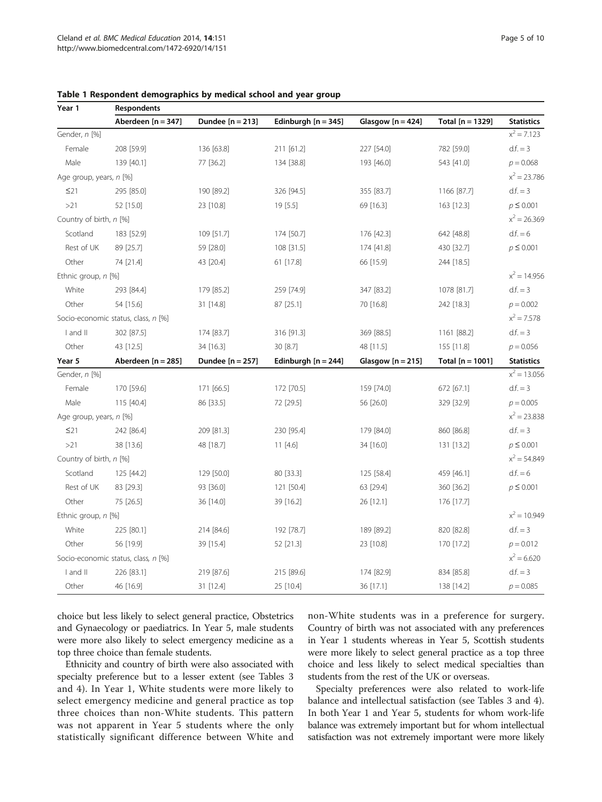| Year 1                              | Respondents                         |                    |                       |                     |                    |                   |  |
|-------------------------------------|-------------------------------------|--------------------|-----------------------|---------------------|--------------------|-------------------|--|
|                                     | Aberdeen [n = 347]                  | Dundee $[n = 213]$ | Edinburgh $[n = 345]$ | Glasgow $[n = 424]$ | Total [n = 1329]   | <b>Statistics</b> |  |
| Gender, n [%]                       |                                     |                    |                       |                     |                    | $x^2 = 7.123$     |  |
| Female                              | 208 [59.9]                          | 136 [63.8]         | 211 [61.2]            | 227 [54.0]          | 782 [59.0]         | $df = 3$          |  |
| Male                                | 139 [40.1]                          | 77 [36.2]          | 134 [38.8]            | 193 [46.0]          | 543 [41.0]         | $p = 0.068$       |  |
| Age group, years, n [%]             |                                     |                    |                       |                     |                    | $x^2 = 23.786$    |  |
| $\leq$ 21                           | 295 [85.0]                          | 190 [89.2]         | 326 [94.5]            | 355 [83.7]          | 1166 [87.7]        | $df = 3$          |  |
| >21                                 | 52 [15.0]                           | 23 [10.8]          | 19 [5.5]              | 69 [16.3]           | 163 [12.3]         | $p \le 0.001$     |  |
| Country of birth, n [%]             |                                     |                    |                       |                     |                    | $x^2 = 26.369$    |  |
| Scotland                            | 183 [52.9]                          | 109 [51.7]         | 174 [50.7]            | 176 [42.3]          | 642 [48.8]         | $df = 6$          |  |
| Rest of UK                          | 89 [25.7]                           | 59 [28.0]          | 108 [31.5]            | 174 [41.8]          | 430 [32.7]         | $p \le 0.001$     |  |
| Other                               | 74 [21.4]                           | 43 [20.4]          | 61 [17.8]             | 66 [15.9]           | 244 [18.5]         |                   |  |
| Ethnic group, n [%]                 |                                     |                    | $x^2 = 14.956$        |                     |                    |                   |  |
| White                               | 293 [84.4]                          | 179 [85.2]         | 259 [74.9]            | 347 [83.2]          | 1078 [81.7]        | $df = 3$          |  |
| Other                               | 54 [15.6]                           | 31 [14.8]          | 87 [25.1]             | 70 [16.8]           | 242 [18.3]         | $p = 0.002$       |  |
| Socio-economic status, class, n [%] |                                     |                    |                       |                     |                    | $x^2 = 7.578$     |  |
| I and II                            | 302 [87.5]                          | 174 [83.7]         | 316 [91.3]            | 369 [88.5]          | 1161 [88.2]        | $df = 3$          |  |
| Other                               | 43 [12.5]                           | 34 [16.3]          | 30 [8.7]              | 48 [11.5]           | 155 [11.8]         | $p = 0.056$       |  |
| Year 5                              | Aberdeen $[n = 285]$                | Dundee $[n = 257]$ | Edinburgh $[n = 244]$ | Glasgow $[n = 215]$ | Total $[n = 1001]$ | <b>Statistics</b> |  |
| Gender, n [%]                       |                                     |                    |                       |                     |                    | $x^2 = 13.056$    |  |
| Female                              | 170 [59.6]                          | 171 [66.5]         | 172 [70.5]            | 159 [74.0]          | 672 [67.1]         | $df = 3$          |  |
| Male                                | 115 [40.4]                          | 86 [33.5]          | 72 [29.5]             | 56 [26.0]           | 329 [32.9]         | $p = 0.005$       |  |
| Age group, years, n [%]             |                                     |                    |                       |                     |                    | $x^2 = 23.838$    |  |
| $\leq$ 21                           | 242 [86.4]                          | 209 [81.3]         | 230 [95.4]            | 179 [84.0]          | 860 [86.8]         | $d.f. = 3$        |  |
| >21                                 | 38 [13.6]                           | 48 [18.7]          | 11 [4.6]              | 34 [16.0]           | 131 [13.2]         | $p \le 0.001$     |  |
|                                     | Country of birth, n [%]             |                    |                       |                     | $x^2 = 54.849$     |                   |  |
| Scotland                            | 125 [44.2]                          | 129 [50.0]         | 80 [33.3]             | 125 [58.4]          | 459 [46.1]         | $df = 6$          |  |
| Rest of UK                          | 83 [29.3]                           | 93 [36.0]          | 121 [50.4]            | 63 [29.4]           | 360 [36.2]         | $p \le 0.001$     |  |
| Other                               | 75 [26.5]                           | 36 [14.0]          | 39 [16.2]             | 26 [12.1]           | 176 [17.7]         |                   |  |
| Ethnic group, n [%]                 |                                     |                    |                       |                     |                    | $x^2 = 10.949$    |  |
| White                               | 225 [80.1]                          | 214 [84.6]         | 192 [78.7]            | 189 [89.2]          | 820 [82.8]         | $df = 3$          |  |
| Other                               | 56 [19.9]                           | 39 [15.4]          | 52 [21.3]             | 23 [10.8]           | 170 [17.2]         | $p = 0.012$       |  |
|                                     | Socio-economic status, class, n [%] |                    |                       |                     |                    | $x^2$ = 6.620     |  |
| I and II                            | 226 [83.1]                          | 219 [87.6]         | 215 [89.6]            | 174 [82.9]          | 834 [85.8]         | $df = 3$          |  |
| Other                               | 46 [16.9]                           | 31 [12.4]          | 25 [10.4]             | 36 [17.1]           | 138 [14.2]         | $p = 0.085$       |  |

<span id="page-4-0"></span>Table 1 Respondent demographics by medical school and year group

choice but less likely to select general practice, Obstetrics and Gynaecology or paediatrics. In Year 5, male students were more also likely to select emergency medicine as a top three choice than female students.

Ethnicity and country of birth were also associated with specialty preference but to a lesser extent (see Tables [3](#page-5-0) and [4](#page-6-0)). In Year 1, White students were more likely to select emergency medicine and general practice as top three choices than non-White students. This pattern was not apparent in Year 5 students where the only statistically significant difference between White and

non-White students was in a preference for surgery. Country of birth was not associated with any preferences in Year 1 students whereas in Year 5, Scottish students were more likely to select general practice as a top three choice and less likely to select medical specialties than students from the rest of the UK or overseas.

Specialty preferences were also related to work-life balance and intellectual satisfaction (see Tables [3](#page-5-0) and [4](#page-6-0)). In both Year 1 and Year 5, students for whom work-life balance was extremely important but for whom intellectual satisfaction was not extremely important were more likely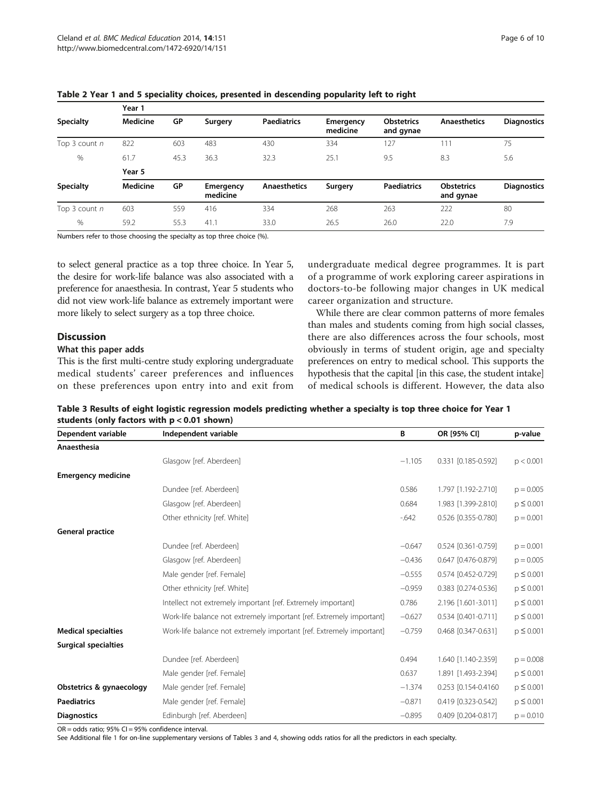$V_{\text{max}}$  1

| <b>Specialty</b> | iear i          |      |                       |                     |                       |                                |                                |                    |  |
|------------------|-----------------|------|-----------------------|---------------------|-----------------------|--------------------------------|--------------------------------|--------------------|--|
|                  | Medicine        | GP   | Surgery               | <b>Paediatrics</b>  | Emergency<br>medicine | <b>Obstetrics</b><br>and gynae | <b>Anaesthetics</b>            | <b>Diagnostics</b> |  |
| Top 3 count n    | 822             | 603  | 483                   | 430                 | 334                   | 127                            | 111                            | 75                 |  |
| %                | 61.7            | 45.3 | 36.3                  | 32.3                | 25.1                  | 9.5                            | 8.3                            | 5.6                |  |
|                  | Year 5          |      |                       |                     |                       |                                |                                |                    |  |
| <b>Specialty</b> | <b>Medicine</b> | GP   | Emergency<br>medicine | <b>Anaesthetics</b> | Surgery               | <b>Paediatrics</b>             | <b>Obstetrics</b><br>and gynae | <b>Diagnostics</b> |  |
| Top 3 count n    | 603             | 559  | 416                   | 334                 | 268                   | 263                            | 222                            | 80                 |  |
| $\%$             | 59.2            | 55.3 | 41.1                  | 33.0                | 26.5                  | 26.0                           | 22.0                           | 7.9                |  |

<span id="page-5-0"></span>Table 2 Year 1 and 5 speciality choices, presented in descending popularity left to right

Numbers refer to those choosing the specialty as top three choice (%).

to select general practice as a top three choice. In Year 5, the desire for work-life balance was also associated with a preference for anaesthesia. In contrast, Year 5 students who did not view work-life balance as extremely important were more likely to select surgery as a top three choice.

# **Discussion**

# What this paper adds

This is the first multi-centre study exploring undergraduate medical students' career preferences and influences on these preferences upon entry into and exit from

undergraduate medical degree programmes. It is part of a programme of work exploring career aspirations in doctors-to-be following major changes in UK medical career organization and structure.

While there are clear common patterns of more females than males and students coming from high social classes, there are also differences across the four schools, most obviously in terms of student origin, age and specialty preferences on entry to medical school. This supports the hypothesis that the capital [in this case, the student intake] of medical schools is different. However, the data also

Table 3 Results of eight logistic regression models predicting whether a specialty is top three choice for Year 1 students (only factors with p < 0.01 shown)

| Dependent variable          | Independent variable                                                 | B        | OR [95% CI]         | p-value       |
|-----------------------------|----------------------------------------------------------------------|----------|---------------------|---------------|
| Anaesthesia                 |                                                                      |          |                     |               |
|                             | Glasgow [ref. Aberdeen]                                              | $-1.105$ | 0.331 [0.185-0.592] | p < 0.001     |
| <b>Emergency medicine</b>   |                                                                      |          |                     |               |
|                             | Dundee [ref. Aberdeen]                                               | 0.586    | 1.797 [1.192-2.710] | $p = 0.005$   |
|                             | Glasgow [ref. Aberdeen]                                              | 0.684    | 1.983 [1.399-2.810] | $p \le 0.001$ |
|                             | Other ethnicity [ref. White]                                         | $-642$   | 0.526 [0.355-0.780] | $p = 0.001$   |
| General practice            |                                                                      |          |                     |               |
|                             | Dundee [ref. Aberdeen]                                               | $-0.647$ | 0.524 [0.361-0.759] | $p = 0.001$   |
|                             | Glasgow [ref. Aberdeen]                                              | $-0.436$ | 0.647 [0.476-0.879] | $p = 0.005$   |
|                             | Male gender [ref. Female]                                            | $-0.555$ | 0.574 [0.452-0.729] | $p \le 0.001$ |
|                             | Other ethnicity [ref. White]                                         | $-0.959$ | 0.383 [0.274-0.536] | $p \le 0.001$ |
|                             | Intellect not extremely important [ref. Extremely important]         | 0.786    | 2.196 [1.601-3.011] | $p \le 0.001$ |
|                             | Work-life balance not extremely important [ref. Extremely important] | $-0.627$ | 0.534 [0.401-0.711] | $p \le 0.001$ |
| <b>Medical specialties</b>  | Work-life balance not extremely important [ref. Extremely important] | $-0.759$ | 0.468 [0.347-0.631] | $p \le 0.001$ |
| <b>Surgical specialties</b> |                                                                      |          |                     |               |
|                             | Dundee [ref. Aberdeen]                                               | 0.494    | 1.640 [1.140-2.359] | $p = 0.008$   |
|                             | Male gender [ref. Female]                                            | 0.637    | 1.891 [1.493-2.394] | $p \le 0.001$ |
| Obstetrics & gynaecology    | Male gender [ref. Female]                                            | $-1.374$ | 0.253 [0.154-0.4160 | $p \le 0.001$ |
| <b>Paediatrics</b>          | Male gender [ref. Female]                                            | $-0.871$ | 0.419 [0.323-0.542] | $p \le 0.001$ |
| <b>Diagnostics</b>          | Edinburgh [ref. Aberdeen]                                            | $-0.895$ | 0.409 [0.204-0.817] | $p = 0.010$   |

OR = odds ratio; 95% CI = 95% confidence interval.

See Additional file [1](#page-8-0) for on-line supplementary versions of Tables 3 and [4](#page-6-0), showing odds ratios for all the predictors in each specialty.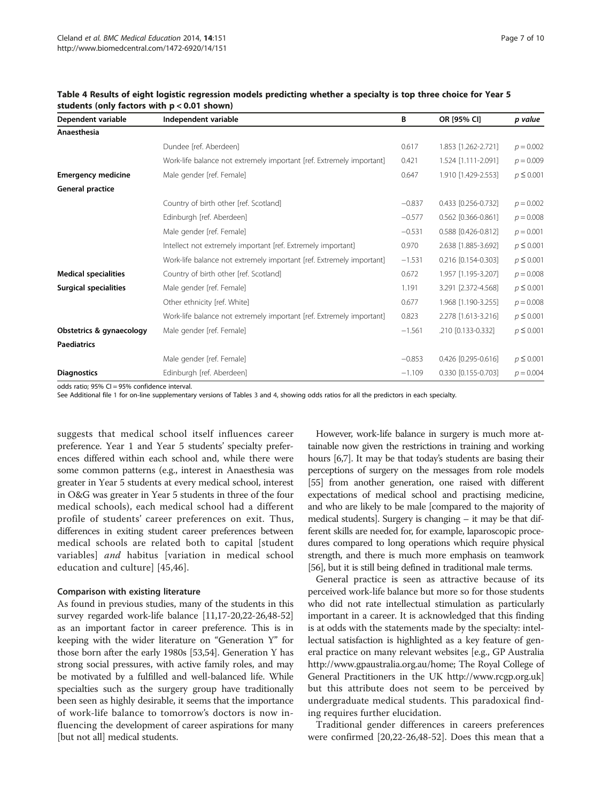| Dependent variable           | Independent variable                                                 | B        | OR [95% CI]         | p value       |
|------------------------------|----------------------------------------------------------------------|----------|---------------------|---------------|
| Anaesthesia                  |                                                                      |          |                     |               |
|                              | Dundee [ref. Aberdeen]                                               | 0.617    | 1.853 [1.262-2.721] | $p = 0.002$   |
|                              | Work-life balance not extremely important [ref. Extremely important] | 0.421    | 1.524 [1.111-2.091] | $p = 0.009$   |
| <b>Emergency medicine</b>    | Male gender [ref. Female]                                            | 0.647    | 1.910 [1.429-2.553] | $p \le 0.001$ |
| General practice             |                                                                      |          |                     |               |
|                              | Country of birth other [ref. Scotland]                               | $-0.837$ | 0.433 [0.256-0.732] | $p = 0.002$   |
|                              | Edinburgh [ref. Aberdeen]                                            | $-0.577$ | 0.562 [0.366-0.861] | $p = 0.008$   |
|                              | Male gender [ref. Female]                                            | $-0.531$ | 0.588 [0.426-0.812] | $p = 0.001$   |
|                              | Intellect not extremely important [ref. Extremely important]         | 0.970    | 2.638 [1.885-3.692] | $p \le 0.001$ |
|                              | Work-life balance not extremely important [ref. Extremely important] | $-1.531$ | 0.216 [0.154-0.303] | $p \le 0.001$ |
| <b>Medical specialities</b>  | Country of birth other [ref. Scotland]                               | 0.672    | 1.957 [1.195-3.207] | $p = 0.008$   |
| <b>Surgical specialities</b> | Male gender [ref. Female]                                            | 1.191    | 3.291 [2.372-4.568] | $p \le 0.001$ |
|                              | Other ethnicity [ref. White]                                         | 0.677    | 1.968 [1.190-3.255] | $p = 0.008$   |
|                              | Work-life balance not extremely important [ref. Extremely important] | 0.823    | 2.278 [1.613-3.216] | $p \le 0.001$ |
| Obstetrics & gynaecology     | Male gender [ref. Female]                                            | $-1.561$ | .210 [0.133-0.332]  | $p \le 0.001$ |
| <b>Paediatrics</b>           |                                                                      |          |                     |               |
|                              | Male gender [ref. Female]                                            | $-0.853$ | 0.426 [0.295-0.616] | $p \le 0.001$ |
| <b>Diagnostics</b>           | Edinburgh [ref. Aberdeen]                                            | $-1.109$ | 0.330 [0.155-0.703] | $p = 0.004$   |

<span id="page-6-0"></span>Table 4 Results of eight logistic regression models predicting whether a specialty is top three choice for Year 5 students (only factors with p < 0.01 shown)

odds ratio; 95% CI = 95% confidence interval.

See Additional file [1](#page-8-0) for on-line supplementary versions of Tables [3](#page-5-0) and 4, showing odds ratios for all the predictors in each specialty.

suggests that medical school itself influences career preference. Year 1 and Year 5 students' specialty preferences differed within each school and, while there were some common patterns (e.g., interest in Anaesthesia was greater in Year 5 students at every medical school, interest in O&G was greater in Year 5 students in three of the four medical schools), each medical school had a different profile of students' career preferences on exit. Thus, differences in exiting student career preferences between medical schools are related both to capital [student variables] and habitus [variation in medical school education and culture] [[45,46\]](#page-9-0).

#### Comparison with existing literature

As found in previous studies, many of the students in this survey regarded work-life balance [\[11,17-20,22-26,](#page-8-0)[48](#page-9-0)-[52](#page-9-0)] as an important factor in career preference. This is in keeping with the wider literature on "Generation Y" for those born after the early 1980s [[53,54](#page-9-0)]. Generation Y has strong social pressures, with active family roles, and may be motivated by a fulfilled and well-balanced life. While specialties such as the surgery group have traditionally been seen as highly desirable, it seems that the importance of work-life balance to tomorrow's doctors is now influencing the development of career aspirations for many [but not all] medical students.

However, work-life balance in surgery is much more attainable now given the restrictions in training and working hours [\[6,7](#page-8-0)]. It may be that today's students are basing their perceptions of surgery on the messages from role models [[55](#page-9-0)] from another generation, one raised with different expectations of medical school and practising medicine, and who are likely to be male [compared to the majority of medical students]. Surgery is changing – it may be that different skills are needed for, for example, laparoscopic procedures compared to long operations which require physical strength, and there is much more emphasis on teamwork [[56](#page-9-0)], but it is still being defined in traditional male terms.

General practice is seen as attractive because of its perceived work-life balance but more so for those students who did not rate intellectual stimulation as particularly important in a career. It is acknowledged that this finding is at odds with the statements made by the specialty: intellectual satisfaction is highlighted as a key feature of general practice on many relevant websites [e.g., GP Australia [http://www.gpaustralia.org.au/home;](http://www.gpaustralia.org.au/home) The Royal College of General Practitioners in the UK [http://www.rcgp.org.uk](http://www.rcgp.org.uk/)] but this attribute does not seem to be perceived by undergraduate medical students. This paradoxical finding requires further elucidation.

Traditional gender differences in careers preferences were confirmed [\[20,22](#page-8-0)-[26,](#page-8-0)[48-52\]](#page-9-0). Does this mean that a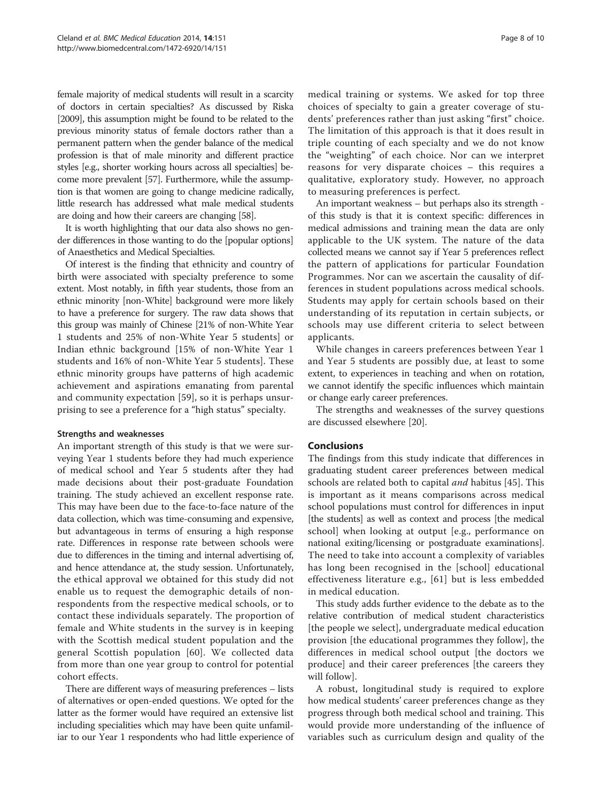female majority of medical students will result in a scarcity of doctors in certain specialties? As discussed by Riska [2009], this assumption might be found to be related to the previous minority status of female doctors rather than a permanent pattern when the gender balance of the medical profession is that of male minority and different practice styles [e.g., shorter working hours across all specialties] become more prevalent [\[57\]](#page-9-0). Furthermore, while the assumption is that women are going to change medicine radically, little research has addressed what male medical students are doing and how their careers are changing [\[58](#page-9-0)].

It is worth highlighting that our data also shows no gender differences in those wanting to do the [popular options] of Anaesthetics and Medical Specialties.

Of interest is the finding that ethnicity and country of birth were associated with specialty preference to some extent. Most notably, in fifth year students, those from an ethnic minority [non-White] background were more likely to have a preference for surgery. The raw data shows that this group was mainly of Chinese [21% of non-White Year 1 students and 25% of non-White Year 5 students] or Indian ethnic background [15% of non-White Year 1 students and 16% of non-White Year 5 students]. These ethnic minority groups have patterns of high academic achievement and aspirations emanating from parental and community expectation [\[59](#page-9-0)], so it is perhaps unsurprising to see a preference for a "high status" specialty.

#### Strengths and weaknesses

An important strength of this study is that we were surveying Year 1 students before they had much experience of medical school and Year 5 students after they had made decisions about their post-graduate Foundation training. The study achieved an excellent response rate. This may have been due to the face-to-face nature of the data collection, which was time-consuming and expensive, but advantageous in terms of ensuring a high response rate. Differences in response rate between schools were due to differences in the timing and internal advertising of, and hence attendance at, the study session. Unfortunately, the ethical approval we obtained for this study did not enable us to request the demographic details of nonrespondents from the respective medical schools, or to contact these individuals separately. The proportion of female and White students in the survey is in keeping with the Scottish medical student population and the general Scottish population [[60\]](#page-9-0). We collected data from more than one year group to control for potential cohort effects.

There are different ways of measuring preferences – lists of alternatives or open-ended questions. We opted for the latter as the former would have required an extensive list including specialities which may have been quite unfamiliar to our Year 1 respondents who had little experience of medical training or systems. We asked for top three choices of specialty to gain a greater coverage of students' preferences rather than just asking "first" choice. The limitation of this approach is that it does result in triple counting of each specialty and we do not know the "weighting" of each choice. Nor can we interpret reasons for very disparate choices – this requires a qualitative, exploratory study. However, no approach to measuring preferences is perfect.

An important weakness – but perhaps also its strength of this study is that it is context specific: differences in medical admissions and training mean the data are only applicable to the UK system. The nature of the data collected means we cannot say if Year 5 preferences reflect the pattern of applications for particular Foundation Programmes. Nor can we ascertain the causality of differences in student populations across medical schools. Students may apply for certain schools based on their understanding of its reputation in certain subjects, or schools may use different criteria to select between applicants.

While changes in careers preferences between Year 1 and Year 5 students are possibly due, at least to some extent, to experiences in teaching and when on rotation, we cannot identify the specific influences which maintain or change early career preferences.

The strengths and weaknesses of the survey questions are discussed elsewhere [\[20](#page-8-0)].

# Conclusions

The findings from this study indicate that differences in graduating student career preferences between medical schools are related both to capital *and* habitus [[45](#page-9-0)]. This is important as it means comparisons across medical school populations must control for differences in input [the students] as well as context and process [the medical school] when looking at output [e.g., performance on national exiting/licensing or postgraduate examinations]. The need to take into account a complexity of variables has long been recognised in the [school] educational effectiveness literature e.g., [\[61\]](#page-9-0) but is less embedded in medical education.

This study adds further evidence to the debate as to the relative contribution of medical student characteristics [the people we select], undergraduate medical education provision [the educational programmes they follow], the differences in medical school output [the doctors we produce] and their career preferences [the careers they will follow].

A robust, longitudinal study is required to explore how medical students' career preferences change as they progress through both medical school and training. This would provide more understanding of the influence of variables such as curriculum design and quality of the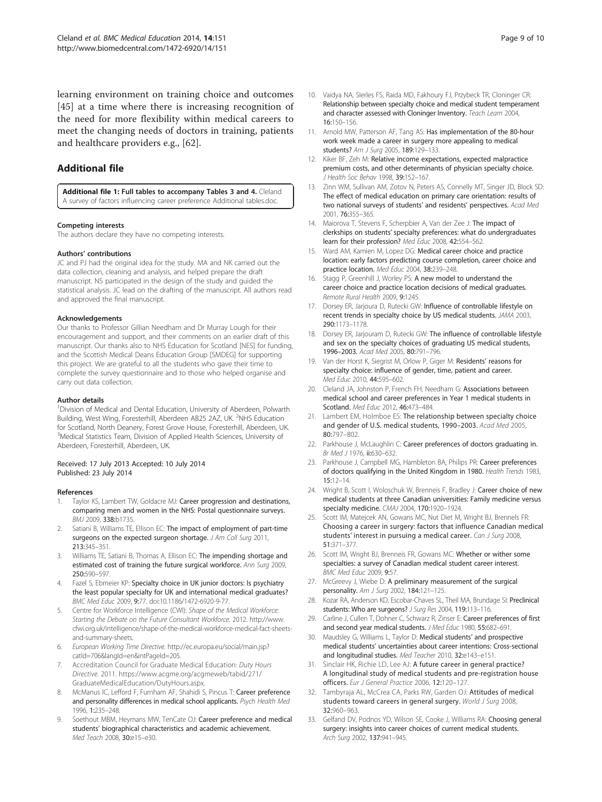<span id="page-8-0"></span>learning environment on training choice and outcomes [[45\]](#page-9-0) at a time where there is increasing recognition of the need for more flexibility within medical careers to meet the changing needs of doctors in training, patients and healthcare providers e.g., [[62\]](#page-9-0).

# Additional file

[Additional file 1:](http://www.biomedcentral.com/content/supplementary/1472-6920-14-151-S1.docx) Full tables to accompany Tables [3](#page-5-0) and [4.](#page-6-0) Cleland A survey of factors influencing career preference Additional tables.doc.

#### Competing interests

The authors declare they have no competing interests.

#### Authors' contributions

JC and PJ had the original idea for the study. MA and NK carried out the data collection, cleaning and analysis, and helped prepare the draft manuscript. NS participated in the design of the study and guided the statistical analysis. JC lead on the drafting of the manuscript. All authors read and approved the final manuscript.

#### Acknowledgements

Our thanks to Professor Gillian Needham and Dr Murray Lough for their encouragement and support, and their comments on an earlier draft of this manuscript. Our thanks also to NHS Education for Scotland [NES] for funding, and the Scottish Medical Deans Education Group [SMDEG] for supporting this project. We are grateful to all the students who gave their time to complete the survey questionnaire and to those who helped organise and carry out data collection.

#### Author details

<sup>1</sup> Division of Medical and Dental Education, University of Aberdeen, Polwarth Building, West Wing, Foresterhill, Aberdeen AB25 2AZ, UK. <sup>2</sup>NHS Education for Scotland, North Deanery, Forest Grove House, Foresterhill, Aberdeen, UK. <sup>3</sup>Medical Statistics Team, Division of Applied Health Sciences, University of Aberdeen, Foresterhill, Aberdeen, UK.

#### Received: 17 July 2013 Accepted: 10 July 2014 Published: 23 July 2014

#### References

- Taylor KS, Lambert TW, Goldacre MJ: Career progression and destinations, comparing men and women in the NHS: Postal questionnaire surveys. BMJ 2009, 338:b1735.
- Satiani B, Williams TE, Ellison EC: The impact of employment of part-time surgeons on the expected surgeon shortage. J Am Coll Surg 2011, 213:345–351.
- 3. Williams TE, Satiani B, Thomas A, Ellison EC: The impending shortage and estimated cost of training the future surgical workforce. Ann Surg 2009, 250:590–597.
- Fazel S, Ebmeier KP: Specialty choice in UK junior doctors: Is psychiatry the least popular specialty for UK and international medical graduates? BMC Med Educ 2009, 9:77. doi:10.1186/1472-6920-9-77.
- 5. Centre for Workforce Intelligence (CWI): Shape of the Medical Workforce: Starting the Debate on the Future Consultant Workforce. 2012. [http://www.](http://www.cfwi.org.uk/intelligence/shape-of-the-medical-workforce-medical-fact-sheets-and-summary-sheets) [cfwi.org.uk/intelligence/shape-of-the-medical-workforce-medical-fact-sheets](http://www.cfwi.org.uk/intelligence/shape-of-the-medical-workforce-medical-fact-sheets-and-summary-sheets)[and-summary-sheets.](http://www.cfwi.org.uk/intelligence/shape-of-the-medical-workforce-medical-fact-sheets-and-summary-sheets)
- 6. European Working Time Directive. [http://ec.europa.eu/social/main.jsp?](http://ec.europa.eu/social/main.jsp?catId=706&langId=en&intPageId=205) [catId=706&langId=en&intPageId=205](http://ec.europa.eu/social/main.jsp?catId=706&langId=en&intPageId=205).
- 7. Accreditation Council for Graduate Medical Education: Duty Hours Directive. 2011. [https://www.acgme.org/acgmeweb/tabid/271/](https://www.acgme.org/acgmeweb/tabid/271/GraduateMedicalEducation/DutyHours.aspx) [GraduateMedicalEducation/DutyHours.aspx.](https://www.acgme.org/acgmeweb/tabid/271/GraduateMedicalEducation/DutyHours.aspx)
- McManus IC, Lefford F, Furnham AF, Shahidi S, Pincus T: Career preference and personality differences in medical school applicants. Psych Health Med 1996, 1:235–248.
- Soethout MBM, Heymans MW, TenCate OJ: Career preference and medical students' biographical characteristics and academic achievement. Med Teach 2008, 30:e15–e30.
- 10. Vaidya NA, SIerles FS, Raida MD, Fakhoury FJ, Przybeck TR, Cloninger CR: Relationship between specialty choice and medical student temperament and character assessed with Cloninger Inventory. Teach Learn 2004, 16:150–156.
- 11. Arnold MW, Patterson AF, Tang AS: Has implementation of the 80-hour work week made a career in surgery more appealing to medical students? Am J Surg 2005, 189:129–133.
- 12. Kiker BF, Zeh M: Relative income expectations, expected malpractice premium costs, and other determinants of physician specialty choice. J Health Soc Behav 1998, 39:152–167.
- 13. Zinn WM, Sullivan AM, Zotov N, Peters AS, Connelly MT, Singer JD, Block SD: The effect of medical education on primary care orientation: results of two national surveys of students' and residents' perspectives. Acad Med 2001, 76:355–365.
- 14. Maiorova T, Stevens F, Scherpbier A, Van der Zee J: The impact of clerkships on students' specialty preferences: what do undergraduates learn for their profession? Med Educ 2008, 42:554-562.
- 15. Ward AM, Kamien M, Lopez DG: Medical career choice and practice location: early factors predicting course completion, career choice and practice location. Med Educ 2004, 38:239–248.
- 16. Stagg P, Greenhill J, Worley PS: A new model to understand the career choice and practice location decisions of medical graduates. Remote Rural Health 2009, 9:1245.
- 17. Dorsey ER, Jarjoura D, Rutecki GW: Influence of controllable lifestyle on recent trends in specialty choice by US medical students. JAMA 2003, 290:1173–1178.
- 18. Dorsey ER, Jarjouram D, Rutecki GW: The influence of controllable lifestyle and sex on the specialty choices of graduating US medical students, 1996–2003. Acad Med 2005, 80:791–796.
- 19. Van der Horst K, Siegrist M, Orlow P, Giger M: Residents' reasons for specialty choice: influence of gender, time, patient and career. Med Educ 2010, 44:595–602.
- 20. Cleland JA, Johnston P, French FH, Needham G: Associations between medical school and career preferences in Year 1 medical students in Scotland. Med Educ 2012, 46:473-484.
- 21. Lambert EM, Holmboe ES: The relationship between specialty choice and gender of U.S. medical students, 1990–2003. Acad Med 2005, 80:797–802.
- 22. Parkhouse J, McLaughlin C: Career preferences of doctors graduating in. Br Med J 1976, ii:630–632.
- 23. Parkhouse J, Campbell MG, Hambleton BA, Philips PR: Career preferences of doctors qualifying in the United Kingdom in 1980. Health Trends 1983, 15:12–14.
- 24. Wright B, Scott I, Woloschuk W, Brenneis F, Bradley J: Career choice of new medical students at three Canadian universities: Family medicine versus specialty medicine. CMAJ 2004, 170:1920–1924.
- 25. Scott IM, Matejcek AN, Gowans MC, Nut Diet M, Wright BJ, Brennels FR: Choosing a career in surgery: factors that influence Canadian medical students' interest in pursuing a medical career. Can J Surg 2008, 51:371–377.
- 26. Scott IM, Wright BJ, Brenneis FR, Gowans MC: Whether or wither some specialties: a survey of Canadian medical student career interest. BMC Med Educ 2009, 9:57.
- 27. McGreevy J, Wiebe D: A preliminary measurement of the surgical personality. Am J Surg 2002, 184:121–125.
- 28. Kozar RA, Anderson KD, Escobar-Chaves SL, Theil MA, Brundage SI: Preclinical students: Who are surgeons? J Surg Res 2004, 119:113-116.
- 29. Carline J, Cullen T, Dohner C, Schwarz R, Zinser E: Career preferences of first and second year medical students. J Med Educ 1980, 55:682-691.
- 30. Maudsley G, Williams L, Taylor D: Medical students' and prospective medical students' uncertainties about career intentions: Cross-sectional and longitudinal studies. Med Teacher 2010, 32:e143–e151.
- 31. Sinclair HK, Richie LD, Lee AJ: A future career in general practice? A longitudinal study of medical students and pre-registration house officers. Eur J General Practice 2006, 12:120–127.
- 32. Tambyraja AL, McCrea CA, Parks RW, Garden OJ: Attitudes of medical students toward careers in general surgery. World J Surg 2008, 32:960–963.
- 33. Gelfand DV, Podnos YD, Wilson SE, Cooke J, Williams RA: Choosing general surgery: insights into career choices of current medical students. Arch Surg 2002, 137:941–945.